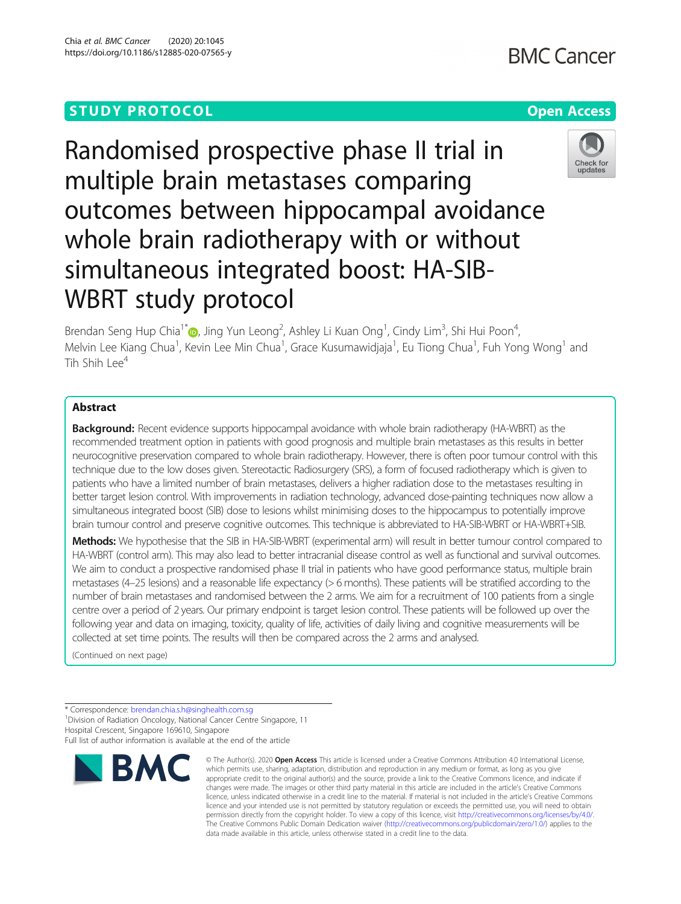# **STUDY PROTOCOL CONSUMING THE RESERVE ACCESS**

# Randomised prospective phase II trial in multiple brain metastases comparing outcomes between hippocampal avoidance whole brain radiotherapy with or without simultaneous integrated boost: HA-SIB-WBRT study protocol

Brendan Seng Hup Chia<sup>1\*</sup>. Jing Yun Leong<sup>2</sup>, Ashley Li Kuan Ong<sup>1</sup>, Cindy Lim<sup>3</sup>, Shi Hui Poon<sup>4</sup> , Melvin Lee Kiang Chua<sup>1</sup>, Kevin Lee Min Chua<sup>1</sup>, Grace Kusumawidjaja<sup>1</sup>, Eu Tiong Chua<sup>1</sup>, Fuh Yong Wong<sup>1</sup> and Tih Shih Lee<sup>4</sup>

# Abstract

**Background:** Recent evidence supports hippocampal avoidance with whole brain radiotherapy (HA-WBRT) as the recommended treatment option in patients with good prognosis and multiple brain metastases as this results in better neurocognitive preservation compared to whole brain radiotherapy. However, there is often poor tumour control with this technique due to the low doses given. Stereotactic Radiosurgery (SRS), a form of focused radiotherapy which is given to patients who have a limited number of brain metastases, delivers a higher radiation dose to the metastases resulting in better target lesion control. With improvements in radiation technology, advanced dose-painting techniques now allow a simultaneous integrated boost (SIB) dose to lesions whilst minimising doses to the hippocampus to potentially improve brain tumour control and preserve cognitive outcomes. This technique is abbreviated to HA-SIB-WBRT or HA-WBRT+SIB.

Methods: We hypothesise that the SIB in HA-SIB-WBRT (experimental arm) will result in better tumour control compared to HA-WBRT (control arm). This may also lead to better intracranial disease control as well as functional and survival outcomes. We aim to conduct a prospective randomised phase II trial in patients who have good performance status, multiple brain metastases (4–25 lesions) and a reasonable life expectancy (> 6 months). These patients will be stratified according to the number of brain metastases and randomised between the 2 arms. We aim for a recruitment of 100 patients from a single centre over a period of 2 years. Our primary endpoint is target lesion control. These patients will be followed up over the following year and data on imaging, toxicity, quality of life, activities of daily living and cognitive measurements will be collected at set time points. The results will then be compared across the 2 arms and analysed.

(Continued on next page)

\* Correspondence: [brendan.chia.s.h@singhealth.com.sg](mailto:brendan.chia.s.h@singhealth.com.sg) <sup>1</sup>

Hospital Crescent, Singapore 169610, Singapore

<sup>1</sup> Division of Radiation Oncology, National Cancer Centre Singapore, 11

Full list of author information is available at the end of the article

© The Author(s), 2020 **Open Access** This article is licensed under a Creative Commons Attribution 4.0 International License, which permits use, sharing, adaptation, distribution and reproduction in any medium or format, as long as you give appropriate credit to the original author(s) and the source, provide a link to the Creative Commons licence, and indicate if changes were made. The images or other third party material in this article are included in the article's Creative Commons licence, unless indicated otherwise in a credit line to the material. If material is not included in the article's Creative Commons licence and your intended use is not permitted by statutory regulation or exceeds the permitted use, you will need to obtain permission directly from the copyright holder. To view a copy of this licence, visit [http://creativecommons.org/licenses/by/4.0/.](http://creativecommons.org/licenses/by/4.0/) The Creative Commons Public Domain Dedication waiver [\(http://creativecommons.org/publicdomain/zero/1.0/](http://creativecommons.org/publicdomain/zero/1.0/)) applies to the data made available in this article, unless otherwise stated in a credit line to the data.

**BMC** 



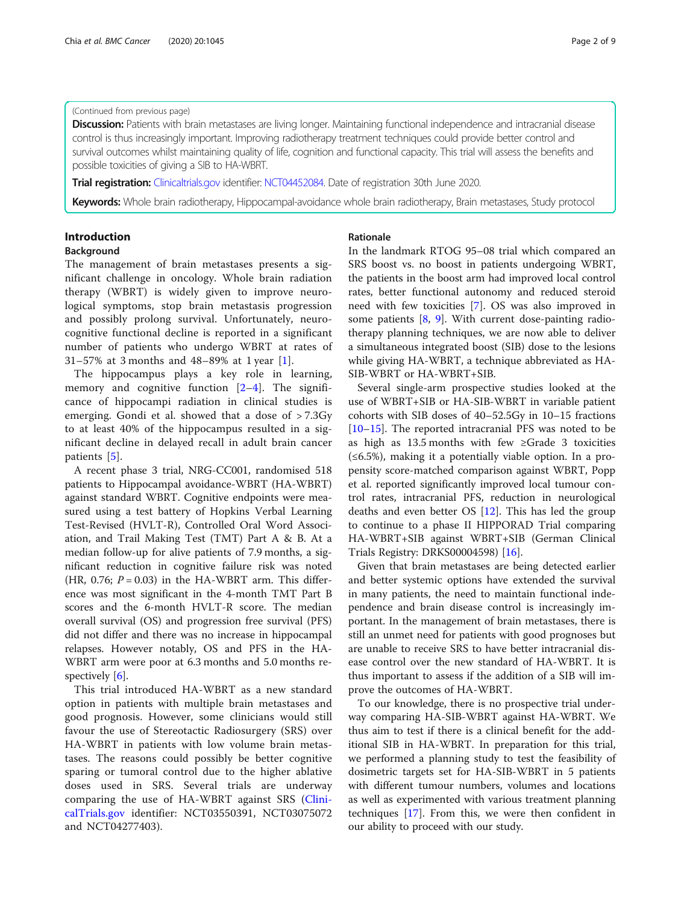#### (Continued from previous page)

Discussion: Patients with brain metastases are living longer. Maintaining functional independence and intracranial disease control is thus increasingly important. Improving radiotherapy treatment techniques could provide better control and survival outcomes whilst maintaining quality of life, cognition and functional capacity. This trial will assess the benefits and possible toxicities of giving a SIB to HA-WBRT.

**Trial registration:** [Clinicaltrials.gov](http://clinicaltrials.gov) identifier: [NCT04452084.](https://clinicaltrials.gov/ct2/show/NCT04452084) Date of registration 30th June 2020.

Keywords: Whole brain radiotherapy, Hippocampal-avoidance whole brain radiotherapy, Brain metastases, Study protocol

# Introduction

# Background

The management of brain metastases presents a significant challenge in oncology. Whole brain radiation therapy (WBRT) is widely given to improve neurological symptoms, stop brain metastasis progression and possibly prolong survival. Unfortunately, neurocognitive functional decline is reported in a significant number of patients who undergo WBRT at rates of 31–57% at 3 months and 48–89% at 1 year [[1\]](#page-7-0).

The hippocampus plays a key role in learning, memory and cognitive function  $[2-4]$  $[2-4]$  $[2-4]$  $[2-4]$  $[2-4]$ . The significance of hippocampi radiation in clinical studies is emerging. Gondi et al. showed that a dose of > 7.3Gy to at least 40% of the hippocampus resulted in a significant decline in delayed recall in adult brain cancer patients [[5\]](#page-8-0).

A recent phase 3 trial, NRG-CC001, randomised 518 patients to Hippocampal avoidance-WBRT (HA-WBRT) against standard WBRT. Cognitive endpoints were measured using a test battery of Hopkins Verbal Learning Test-Revised (HVLT-R), Controlled Oral Word Association, and Trail Making Test (TMT) Part A & B. At a median follow-up for alive patients of 7.9 months, a significant reduction in cognitive failure risk was noted (HR, 0.76;  $P = 0.03$ ) in the HA-WBRT arm. This difference was most significant in the 4-month TMT Part B scores and the 6-month HVLT-R score. The median overall survival (OS) and progression free survival (PFS) did not differ and there was no increase in hippocampal relapses. However notably, OS and PFS in the HA-WBRT arm were poor at 6.3 months and 5.0 months respectively [\[6](#page-8-0)].

This trial introduced HA-WBRT as a new standard option in patients with multiple brain metastases and good prognosis. However, some clinicians would still favour the use of Stereotactic Radiosurgery (SRS) over HA-WBRT in patients with low volume brain metastases. The reasons could possibly be better cognitive sparing or tumoral control due to the higher ablative doses used in SRS. Several trials are underway comparing the use of HA-WBRT against SRS ([Clini](http://clinicaltrials.gov)[calTrials.gov](http://clinicaltrials.gov) identifier: NCT03550391, NCT03075072 and NCT04277403).

#### Rationale

In the landmark RTOG 95–08 trial which compared an SRS boost vs. no boost in patients undergoing WBRT, the patients in the boost arm had improved local control rates, better functional autonomy and reduced steroid need with few toxicities [[7](#page-8-0)]. OS was also improved in some patients [[8,](#page-8-0) [9\]](#page-8-0). With current dose-painting radiotherapy planning techniques, we are now able to deliver a simultaneous integrated boost (SIB) dose to the lesions while giving HA-WBRT, a technique abbreviated as HA-SIB-WBRT or HA-WBRT+SIB.

Several single-arm prospective studies looked at the use of WBRT+SIB or HA-SIB-WBRT in variable patient cohorts with SIB doses of 40–52.5Gy in 10–15 fractions [[10](#page-8-0)–[15](#page-8-0)]. The reported intracranial PFS was noted to be as high as 13.5 months with few ≥Grade 3 toxicities (≤6.5%), making it a potentially viable option. In a propensity score-matched comparison against WBRT, Popp et al. reported significantly improved local tumour control rates, intracranial PFS, reduction in neurological deaths and even better OS [[12](#page-8-0)]. This has led the group to continue to a phase II HIPPORAD Trial comparing HA-WBRT+SIB against WBRT+SIB (German Clinical Trials Registry: DRKS00004598) [\[16](#page-8-0)].

Given that brain metastases are being detected earlier and better systemic options have extended the survival in many patients, the need to maintain functional independence and brain disease control is increasingly important. In the management of brain metastases, there is still an unmet need for patients with good prognoses but are unable to receive SRS to have better intracranial disease control over the new standard of HA-WBRT. It is thus important to assess if the addition of a SIB will improve the outcomes of HA-WBRT.

To our knowledge, there is no prospective trial underway comparing HA-SIB-WBRT against HA-WBRT. We thus aim to test if there is a clinical benefit for the additional SIB in HA-WBRT. In preparation for this trial, we performed a planning study to test the feasibility of dosimetric targets set for HA-SIB-WBRT in 5 patients with different tumour numbers, volumes and locations as well as experimented with various treatment planning techniques [\[17](#page-8-0)]. From this, we were then confident in our ability to proceed with our study.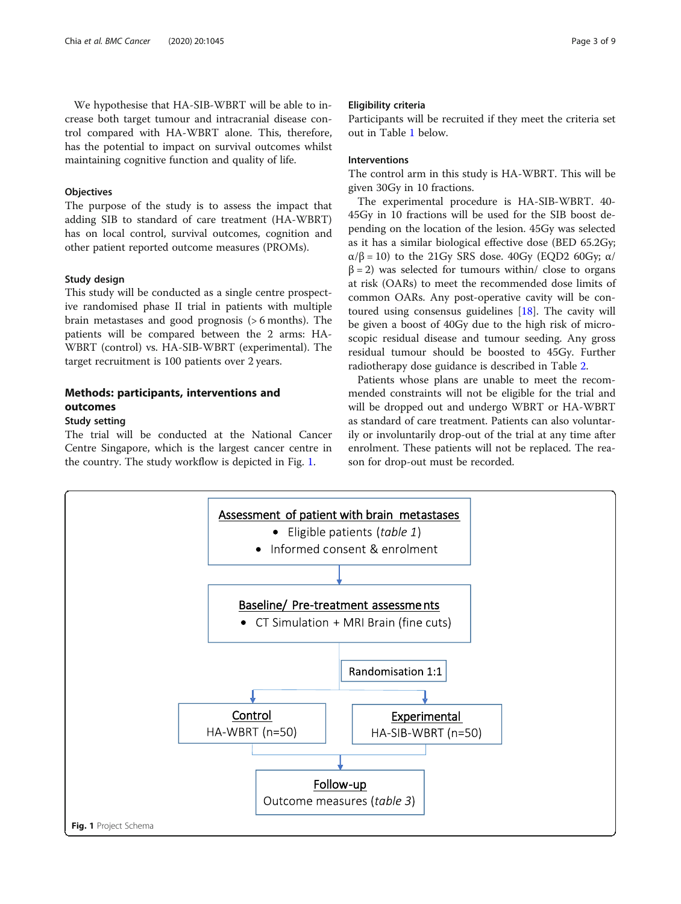We hypothesise that HA-SIB-WBRT will be able to increase both target tumour and intracranial disease control compared with HA-WBRT alone. This, therefore, has the potential to impact on survival outcomes whilst maintaining cognitive function and quality of life.

# **Objectives**

The purpose of the study is to assess the impact that adding SIB to standard of care treatment (HA-WBRT) has on local control, survival outcomes, cognition and other patient reported outcome measures (PROMs).

# Study design

This study will be conducted as a single centre prospective randomised phase II trial in patients with multiple brain metastases and good prognosis (> 6 months). The patients will be compared between the 2 arms: HA-WBRT (control) vs. HA-SIB-WBRT (experimental). The target recruitment is 100 patients over 2 years.

# Methods: participants, interventions and outcomes

# Study setting

The trial will be conducted at the National Cancer Centre Singapore, which is the largest cancer centre in the country. The study workflow is depicted in Fig. 1.

# Eligibility criteria

Participants will be recruited if they meet the criteria set out in Table [1](#page-3-0) below.

# Interventions

The control arm in this study is HA-WBRT. This will be given 30Gy in 10 fractions.

The experimental procedure is HA-SIB-WBRT. 40- 45Gy in 10 fractions will be used for the SIB boost depending on the location of the lesion. 45Gy was selected as it has a similar biological effective dose (BED 65.2Gy;  $\alpha/\beta$  = 10) to the 21Gy SRS dose. 40Gy (EQD2 60Gy;  $\alpha$ /  $\beta$  = 2) was selected for tumours within/ close to organs at risk (OARs) to meet the recommended dose limits of common OARs. Any post-operative cavity will be contoured using consensus guidelines [\[18](#page-8-0)]. The cavity will be given a boost of 40Gy due to the high risk of microscopic residual disease and tumour seeding. Any gross residual tumour should be boosted to 45Gy. Further radiotherapy dose guidance is described in Table [2.](#page-4-0)

Patients whose plans are unable to meet the recommended constraints will not be eligible for the trial and will be dropped out and undergo WBRT or HA-WBRT as standard of care treatment. Patients can also voluntarily or involuntarily drop-out of the trial at any time after enrolment. These patients will not be replaced. The reason for drop-out must be recorded.

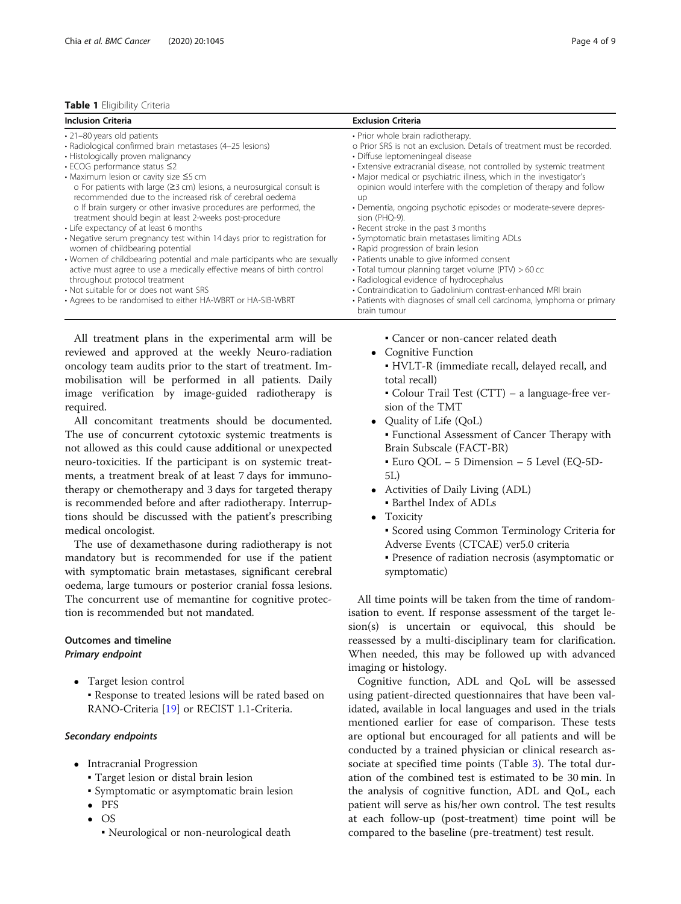# <span id="page-3-0"></span>Table 1 Eligibility Criteria

| <b>Inclusion Criteria</b>                                                                                                                                                                                                                                                                                                                                                                                                                                                                                                                                                                                                                                                                                                                                                                                                                                                                                                                    | <b>Exclusion Criteria</b>                                                                                                                                                                                                                                                                                                                                                                                                                                                                                                                                                                                                                                                                                                                                                                                                                                                                                    |
|----------------------------------------------------------------------------------------------------------------------------------------------------------------------------------------------------------------------------------------------------------------------------------------------------------------------------------------------------------------------------------------------------------------------------------------------------------------------------------------------------------------------------------------------------------------------------------------------------------------------------------------------------------------------------------------------------------------------------------------------------------------------------------------------------------------------------------------------------------------------------------------------------------------------------------------------|--------------------------------------------------------------------------------------------------------------------------------------------------------------------------------------------------------------------------------------------------------------------------------------------------------------------------------------------------------------------------------------------------------------------------------------------------------------------------------------------------------------------------------------------------------------------------------------------------------------------------------------------------------------------------------------------------------------------------------------------------------------------------------------------------------------------------------------------------------------------------------------------------------------|
| • 21-80 years old patients<br>· Radiological confirmed brain metastases (4-25 lesions)<br>• Histologically proven malignancy<br>• ECOG performance status ≤2<br>• Maximum lesion or cavity size <5 cm<br>o For patients with large $(23 \text{ cm})$ lesions, a neurosurgical consult is<br>recommended due to the increased risk of cerebral oedema<br>o If brain surgery or other invasive procedures are performed, the<br>treatment should begin at least 2-weeks post-procedure<br>• Life expectancy of at least 6 months<br>• Negative serum pregnancy test within 14 days prior to registration for<br>women of childbearing potential<br>• Women of childbearing potential and male participants who are sexually<br>active must agree to use a medically effective means of birth control<br>throughout protocol treatment<br>• Not suitable for or does not want SRS<br>• Agrees to be randomised to either HA-WBRT or HA-SIB-WBRT | • Prior whole brain radiotherapy.<br>o Prior SRS is not an exclusion. Details of treatment must be recorded.<br>• Diffuse leptomeningeal disease<br>• Extensive extracranial disease, not controlled by systemic treatment<br>• Major medical or psychiatric illness, which in the investigator's<br>opinion would interfere with the completion of therapy and follow<br>up<br>· Dementia, ongoing psychotic episodes or moderate-severe depres-<br>sion (PHQ-9).<br>• Recent stroke in the past 3 months<br>• Symptomatic brain metastases limiting ADLs<br>• Rapid progression of brain lesion<br>• Patients unable to give informed consent<br>• Total tumour planning target volume (PTV) > 60 cc<br>· Radiological evidence of hydrocephalus<br>• Contraindication to Gadolinium contrast-enhanced MRI brain<br>• Patients with diagnoses of small cell carcinoma, lymphoma or primary<br>brain tumour |

All treatment plans in the experimental arm will be reviewed and approved at the weekly Neuro-radiation oncology team audits prior to the start of treatment. Immobilisation will be performed in all patients. Daily image verification by image-guided radiotherapy is required.

All concomitant treatments should be documented. The use of concurrent cytotoxic systemic treatments is not allowed as this could cause additional or unexpected neuro-toxicities. If the participant is on systemic treatments, a treatment break of at least 7 days for immunotherapy or chemotherapy and 3 days for targeted therapy is recommended before and after radiotherapy. Interruptions should be discussed with the patient's prescribing medical oncologist.

The use of dexamethasone during radiotherapy is not mandatory but is recommended for use if the patient with symptomatic brain metastases, significant cerebral oedema, large tumours or posterior cranial fossa lesions. The concurrent use of memantine for cognitive protection is recommended but not mandated.

# Outcomes and timeline Primary endpoint

• Target lesion control ▪ Response to treated lesions will be rated based on RANO-Criteria [[19](#page-8-0)] or RECIST 1.1-Criteria.

#### Secondary endpoints

- Intracranial Progression
	- Target lesion or distal brain lesion
	- Symptomatic or asymptomatic brain lesion
	- PFS
	- OS
		- Neurological or non-neurological death

▪ Cancer or non-cancer related death

- Cognitive Function
	- HVLT-R (immediate recall, delayed recall, and total recall)

▪ Colour Trail Test (CTT) – a language-free version of the TMT

- Ouality of Life  $(OoL)$ ▪ Functional Assessment of Cancer Therapy with Brain Subscale (FACT-BR)
	- Euro QOL 5 Dimension 5 Level (EQ-5D-5L)
- Activities of Daily Living (ADL) ▪ Barthel Index of ADLs
- Toxicity

▪ Scored using Common Terminology Criteria for Adverse Events (CTCAE) ver5.0 criteria

▪ Presence of radiation necrosis (asymptomatic or symptomatic)

All time points will be taken from the time of randomisation to event. If response assessment of the target lesion(s) is uncertain or equivocal, this should be reassessed by a multi-disciplinary team for clarification. When needed, this may be followed up with advanced imaging or histology.

Cognitive function, ADL and QoL will be assessed using patient-directed questionnaires that have been validated, available in local languages and used in the trials mentioned earlier for ease of comparison. These tests are optional but encouraged for all patients and will be conducted by a trained physician or clinical research associate at specified time points (Table [3\)](#page-5-0). The total duration of the combined test is estimated to be 30 min. In the analysis of cognitive function, ADL and QoL, each patient will serve as his/her own control. The test results at each follow-up (post-treatment) time point will be compared to the baseline (pre-treatment) test result.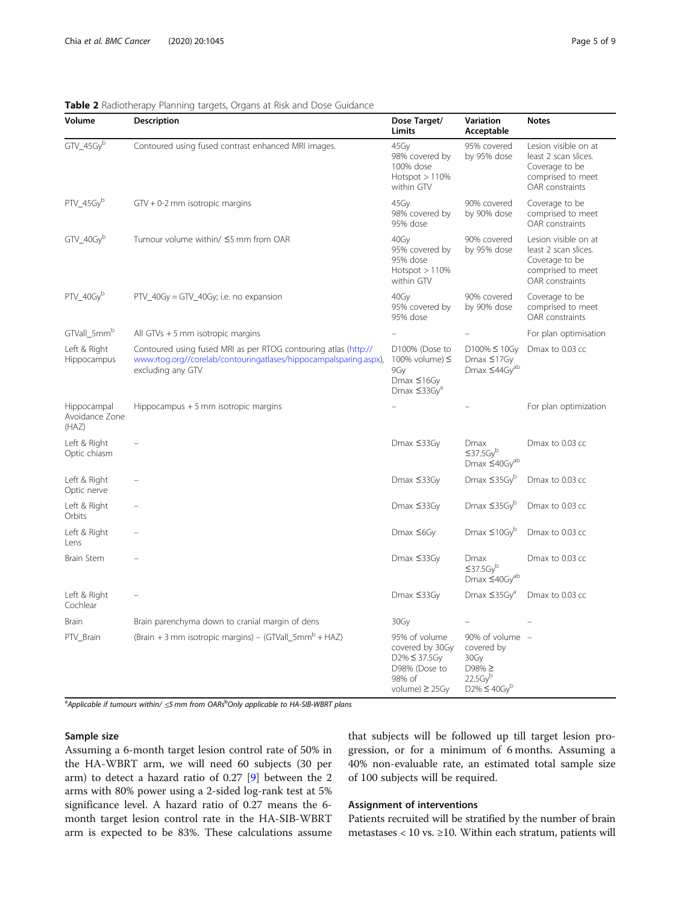| Volume                                 | <b>Description</b>                                                                                                                                        | Dose Target/<br>Limits                                                                                    | Variation<br>Acceptable                                                                                     | <b>Notes</b>                                                                                           |
|----------------------------------------|-----------------------------------------------------------------------------------------------------------------------------------------------------------|-----------------------------------------------------------------------------------------------------------|-------------------------------------------------------------------------------------------------------------|--------------------------------------------------------------------------------------------------------|
| GTV_45Gyb                              | Contoured using fused contrast enhanced MRI images.                                                                                                       | 45Gy<br>98% covered by<br>100% dose<br>Hotspot > 110%<br>within GTV                                       | 95% covered<br>by 95% dose                                                                                  | Lesion visible on at<br>least 2 scan slices.<br>Coverage to be<br>comprised to meet<br>OAR constraints |
| $PTV_45Gy^b$                           | $GTV + 0-2$ mm isotropic margins                                                                                                                          | 45Gy<br>98% covered by<br>95% dose                                                                        | 90% covered<br>by 90% dose                                                                                  | Coverage to be<br>comprised to meet<br>OAR constraints                                                 |
| $GTV_40Gy^b$                           | Tumour volume within/ ≤5 mm from OAR                                                                                                                      | 40Gy<br>95% covered by<br>95% dose<br>$H$ otspot > 110%<br>within GTV                                     | 90% covered<br>by 95% dose                                                                                  | Lesion visible on at<br>least 2 scan slices.<br>Coverage to be<br>comprised to meet<br>OAR constraints |
| $PTV_40Gy^D$                           | PTV_40Gy = GTV_40Gy; i.e. no expansion                                                                                                                    | 40Gy<br>95% covered by<br>95% dose                                                                        | 90% covered<br>by 90% dose                                                                                  | Coverage to be<br>comprised to meet<br>OAR constraints                                                 |
| GTVall_5mm <sup>b</sup>                | All GTVs $+5$ mm isotropic margins                                                                                                                        |                                                                                                           |                                                                                                             | For plan optimisation                                                                                  |
| Left & Right<br>Hippocampus            | Contoured using fused MRI as per RTOG contouring atlas (http://<br>www.rtog.org//corelab/contouringatlases/hippocampalsparing.aspx),<br>excluding any GTV | D100% (Dose to<br>100% volume) ≤<br>9Gv<br>Dmax $\leq 16Gy$<br>Dmax $\leq 33$ Gy <sup>a</sup>             | $D100\% \leq 10$ Gy<br>Dmax ≤17Gy<br>$Dmax \leq 44Gy^{ab}$                                                  | Dmax to 0.03 cc                                                                                        |
| Hippocampal<br>Avoidance Zone<br>(HAZ) | Hippocampus $+5$ mm isotropic margins                                                                                                                     |                                                                                                           |                                                                                                             | For plan optimization                                                                                  |
| Left & Right<br>Optic chiasm           |                                                                                                                                                           | Dmax $\leq$ 33Gy                                                                                          | Dmax<br>$\leq$ 37.5Gyb<br>Dmax ≤40Gy <sup>ab</sup>                                                          | Dmax to 0.03 cc                                                                                        |
| Left & Right<br>Optic nerve            |                                                                                                                                                           | Dmax $\leq$ 33Gy                                                                                          | Dmax $\leq 35$ Gy <sup>b</sup>                                                                              | Dmax to 0.03 cc                                                                                        |
| Left & Right<br>Orbits                 |                                                                                                                                                           | Dmax $\leq$ 33Gy                                                                                          | Dmax $\leq 35Gy^b$                                                                                          | Dmax to 0.03 cc                                                                                        |
| Left & Right<br>Lens                   |                                                                                                                                                           | Dmax $\leq 6Gy$                                                                                           | Dmax $\leq 10$ Gy <sup>b</sup>                                                                              | Dmax to 0.03 cc                                                                                        |
| Brain Stem                             |                                                                                                                                                           | Dmax $\leq$ 33Gy                                                                                          | Dmax<br>$\leq$ 37.5Gy <sup>b</sup><br>Dmax ≤40Gy <sup>ab</sup>                                              | Dmax to 0.03 cc                                                                                        |
| Left & Right<br>Cochlear               |                                                                                                                                                           | Dmax $\leq$ 33Gy                                                                                          | Dmax $\leq 35Gy^d$                                                                                          | Dmax to 0.03 cc                                                                                        |
| <b>Brain</b>                           | Brain parenchyma down to cranial margin of dens                                                                                                           | 30Gy                                                                                                      |                                                                                                             |                                                                                                        |
| PTV_Brain                              | (Brain $+3$ mm isotropic margins) – (GTVall_5mm <sup>b</sup> + HAZ)                                                                                       | 95% of volume<br>covered by 30Gy<br>$D2\% \leq 37.5$ Gy<br>D98% (Dose to<br>98% of<br>volume) $\geq$ 25Gy | 90% of volume -<br>covered by<br>30Gy<br>D98% ≥<br>$22.5$ Gy <sup>b</sup><br>$D2\% \leq 40$ Gy <sup>b</sup> |                                                                                                        |

#### <span id="page-4-0"></span>**Table 2** Radiotherapy Planning targets, Organs at Risk and Dose Guidance

 $^{\rm a}$ Applicable if tumours within/  $\leq$ 5 mm from OARs $^{\rm b}$ Only applicable to HA-SIB-WBRT plans

# Sample size

Assuming a 6-month target lesion control rate of 50% in the HA-WBRT arm, we will need 60 subjects (30 per arm) to detect a hazard ratio of 0.27 [\[9](#page-8-0)] between the 2 arms with 80% power using a 2-sided log-rank test at 5% significance level. A hazard ratio of 0.27 means the 6 month target lesion control rate in the HA-SIB-WBRT arm is expected to be 83%. These calculations assume that subjects will be followed up till target lesion progression, or for a minimum of 6 months. Assuming a 40% non-evaluable rate, an estimated total sample size of 100 subjects will be required.

# Assignment of interventions

Patients recruited will be stratified by the number of brain metastases < 10 vs. ≥10. Within each stratum, patients will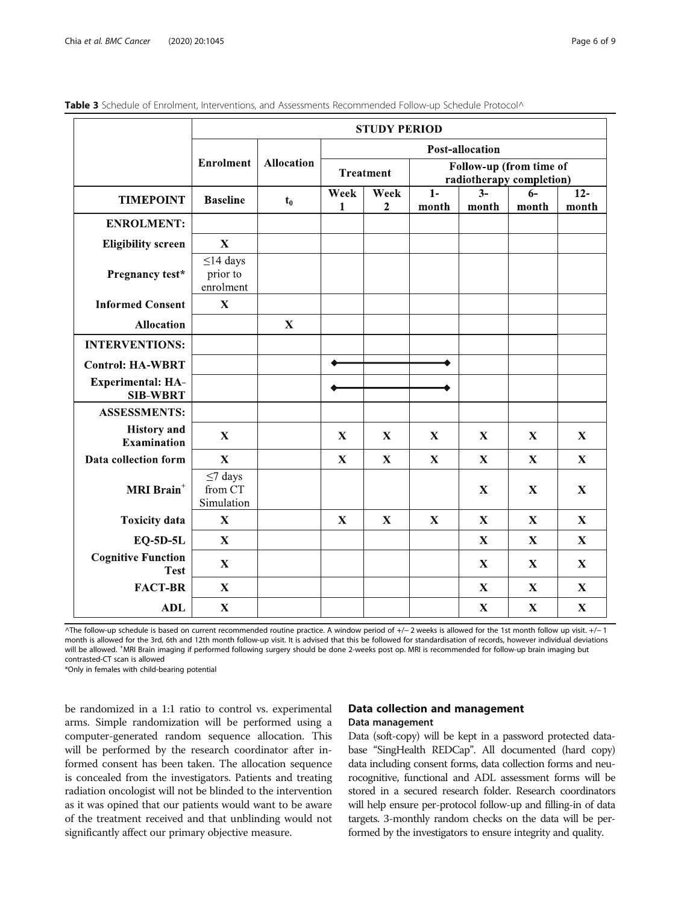|                                             | <b>STUDY PERIOD</b>                     |                        |                  |                      |                                                     |               |               |                 |
|---------------------------------------------|-----------------------------------------|------------------------|------------------|----------------------|-----------------------------------------------------|---------------|---------------|-----------------|
|                                             |                                         | <b>Post-allocation</b> |                  |                      |                                                     |               |               |                 |
|                                             | <b>Enrolment</b>                        | <b>Allocation</b>      | <b>Treatment</b> |                      | Follow-up (from time of<br>radiotherapy completion) |               |               |                 |
| <b>TIMEPOINT</b>                            | <b>Baseline</b>                         | $t_0$                  | Week<br>1        | Week<br>$\mathbf{2}$ | $1 -$<br>month                                      | $3-$<br>month | $6-$<br>month | $12 -$<br>month |
| <b>ENROLMENT:</b>                           |                                         |                        |                  |                      |                                                     |               |               |                 |
| <b>Eligibility screen</b>                   | $\mathbf X$                             |                        |                  |                      |                                                     |               |               |                 |
| Pregnancy test*                             | $\leq$ 14 days<br>prior to<br>enrolment |                        |                  |                      |                                                     |               |               |                 |
| <b>Informed Consent</b>                     | $\mathbf X$                             |                        |                  |                      |                                                     |               |               |                 |
| <b>Allocation</b>                           |                                         | $\mathbf X$            |                  |                      |                                                     |               |               |                 |
| <b>INTERVENTIONS:</b>                       |                                         |                        |                  |                      |                                                     |               |               |                 |
| <b>Control: HA-WBRT</b>                     |                                         |                        |                  |                      |                                                     |               |               |                 |
| <b>Experimental: HA-</b><br><b>SIB-WBRT</b> |                                         |                        |                  |                      |                                                     |               |               |                 |
| <b>ASSESSMENTS:</b>                         |                                         |                        |                  |                      |                                                     |               |               |                 |
| <b>History</b> and<br><b>Examination</b>    | $\mathbf X$                             |                        | $\mathbf X$      | $\mathbf X$          | $\mathbf X$                                         | $\mathbf X$   | $\mathbf X$   | $\mathbf X$     |
| Data collection form                        | $\mathbf X$                             |                        | $\mathbf X$      | $\mathbf X$          | $\mathbf X$                                         | $\mathbf X$   | $\mathbf X$   | $\mathbf X$     |
| <b>MRI</b> Brain <sup>+</sup>               | $\leq$ 7 days<br>from CT<br>Simulation  |                        |                  |                      |                                                     | $\mathbf X$   | $\mathbf X$   | $\mathbf X$     |
| <b>Toxicity</b> data                        | $\mathbf X$                             |                        | $\mathbf X$      | $\mathbf X$          | $\mathbf X$                                         | X             | $\mathbf X$   | $\mathbf X$     |
| <b>EQ-5D-5L</b>                             | $\mathbf{X}$                            |                        |                  |                      |                                                     | X             | $\mathbf X$   | X               |
| <b>Cognitive Function</b><br><b>Test</b>    | $\mathbf X$                             |                        |                  |                      |                                                     | $\mathbf X$   | $\mathbf X$   | $\mathbf X$     |
| <b>FACT-BR</b>                              | $\mathbf X$                             |                        |                  |                      |                                                     | $\mathbf X$   | $\mathbf X$   | $\mathbf X$     |
| <b>ADL</b>                                  | $\mathbf X$                             |                        |                  |                      |                                                     | $\mathbf X$   | $\mathbf X$   | $\mathbf X$     |

<span id="page-5-0"></span>

|  |  |  | Table 3 Schedule of Enrolment, Interventions, and Assessments Recommended Follow-up Schedule Protocol^ |  |  |  |  |  |  |  |
|--|--|--|--------------------------------------------------------------------------------------------------------|--|--|--|--|--|--|--|
|--|--|--|--------------------------------------------------------------------------------------------------------|--|--|--|--|--|--|--|

^The follow-up schedule is based on current recommended routine practice. A window period of +/− 2 weeks is allowed for the 1st month follow up visit. +/− 1 month is allowed for the 3rd, 6th and 12th month follow-up visit. It is advised that this be followed for standardisation of records, however individual deviations will be allowed. <sup>+</sup>MRI Brain imaging if performed following surgery should be done 2-weeks post op. MRI is recommended for follow-up brain imaging but contrasted-CT scan is allowed

\*Only in females with child-bearing potential

be randomized in a 1:1 ratio to control vs. experimental arms. Simple randomization will be performed using a computer-generated random sequence allocation. This will be performed by the research coordinator after informed consent has been taken. The allocation sequence is concealed from the investigators. Patients and treating radiation oncologist will not be blinded to the intervention as it was opined that our patients would want to be aware of the treatment received and that unblinding would not significantly affect our primary objective measure.

# Data collection and management Data management

Data (soft-copy) will be kept in a password protected database "SingHealth REDCap". All documented (hard copy) data including consent forms, data collection forms and neurocognitive, functional and ADL assessment forms will be stored in a secured research folder. Research coordinators will help ensure per-protocol follow-up and filling-in of data targets. 3-monthly random checks on the data will be performed by the investigators to ensure integrity and quality.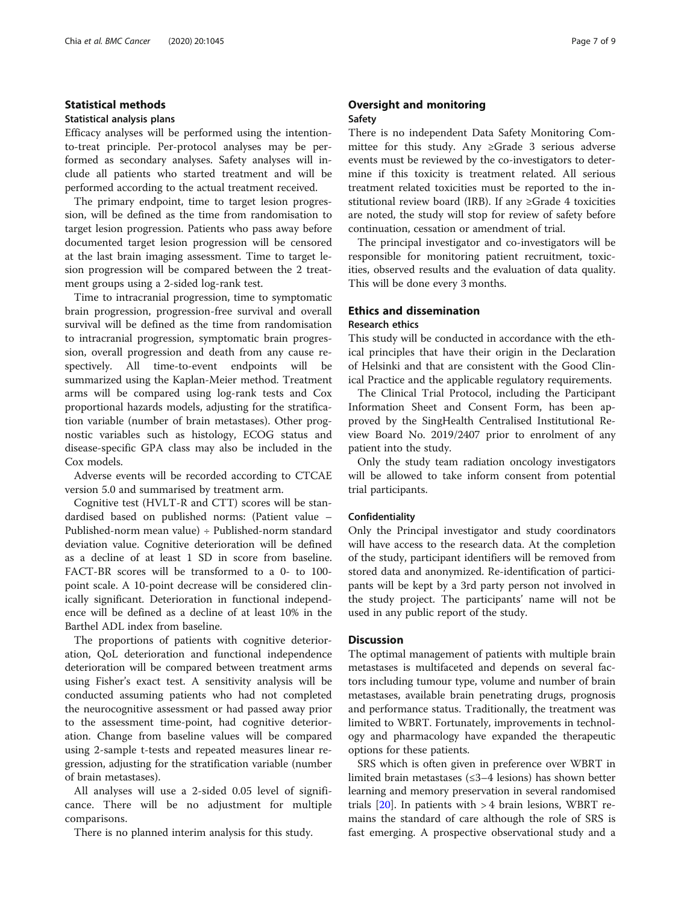#### Statistical methods

#### Statistical analysis plans

Efficacy analyses will be performed using the intentionto-treat principle. Per-protocol analyses may be performed as secondary analyses. Safety analyses will include all patients who started treatment and will be performed according to the actual treatment received.

The primary endpoint, time to target lesion progression, will be defined as the time from randomisation to target lesion progression. Patients who pass away before documented target lesion progression will be censored at the last brain imaging assessment. Time to target lesion progression will be compared between the 2 treatment groups using a 2-sided log-rank test.

Time to intracranial progression, time to symptomatic brain progression, progression-free survival and overall survival will be defined as the time from randomisation to intracranial progression, symptomatic brain progression, overall progression and death from any cause respectively. All time-to-event endpoints will be summarized using the Kaplan-Meier method. Treatment arms will be compared using log-rank tests and Cox proportional hazards models, adjusting for the stratification variable (number of brain metastases). Other prognostic variables such as histology, ECOG status and disease-specific GPA class may also be included in the Cox models.

Adverse events will be recorded according to CTCAE version 5.0 and summarised by treatment arm.

Cognitive test (HVLT-R and CTT) scores will be standardised based on published norms: (Patient value – Published-norm mean value) ÷ Published-norm standard deviation value. Cognitive deterioration will be defined as a decline of at least 1 SD in score from baseline. FACT-BR scores will be transformed to a 0- to 100 point scale. A 10-point decrease will be considered clinically significant. Deterioration in functional independence will be defined as a decline of at least 10% in the Barthel ADL index from baseline.

The proportions of patients with cognitive deterioration, QoL deterioration and functional independence deterioration will be compared between treatment arms using Fisher's exact test. A sensitivity analysis will be conducted assuming patients who had not completed the neurocognitive assessment or had passed away prior to the assessment time-point, had cognitive deterioration. Change from baseline values will be compared using 2-sample t-tests and repeated measures linear regression, adjusting for the stratification variable (number of brain metastases).

All analyses will use a 2-sided 0.05 level of significance. There will be no adjustment for multiple comparisons.

There is no planned interim analysis for this study.

# Oversight and monitoring Safety

There is no independent Data Safety Monitoring Committee for this study. Any ≥Grade 3 serious adverse events must be reviewed by the co-investigators to determine if this toxicity is treatment related. All serious treatment related toxicities must be reported to the institutional review board (IRB). If any ≥Grade 4 toxicities are noted, the study will stop for review of safety before continuation, cessation or amendment of trial.

The principal investigator and co-investigators will be responsible for monitoring patient recruitment, toxicities, observed results and the evaluation of data quality. This will be done every 3 months.

# Ethics and dissemination

## Research ethics

This study will be conducted in accordance with the ethical principles that have their origin in the Declaration of Helsinki and that are consistent with the Good Clinical Practice and the applicable regulatory requirements.

The Clinical Trial Protocol, including the Participant Information Sheet and Consent Form, has been approved by the SingHealth Centralised Institutional Review Board No. 2019/2407 prior to enrolment of any patient into the study.

Only the study team radiation oncology investigators will be allowed to take inform consent from potential trial participants.

#### Confidentiality

Only the Principal investigator and study coordinators will have access to the research data. At the completion of the study, participant identifiers will be removed from stored data and anonymized. Re-identification of participants will be kept by a 3rd party person not involved in the study project. The participants' name will not be used in any public report of the study.

# **Discussion**

The optimal management of patients with multiple brain metastases is multifaceted and depends on several factors including tumour type, volume and number of brain metastases, available brain penetrating drugs, prognosis and performance status. Traditionally, the treatment was limited to WBRT. Fortunately, improvements in technology and pharmacology have expanded the therapeutic options for these patients.

SRS which is often given in preference over WBRT in limited brain metastases (≤3–4 lesions) has shown better learning and memory preservation in several randomised trials  $[20]$  $[20]$ . In patients with  $> 4$  brain lesions, WBRT remains the standard of care although the role of SRS is fast emerging. A prospective observational study and a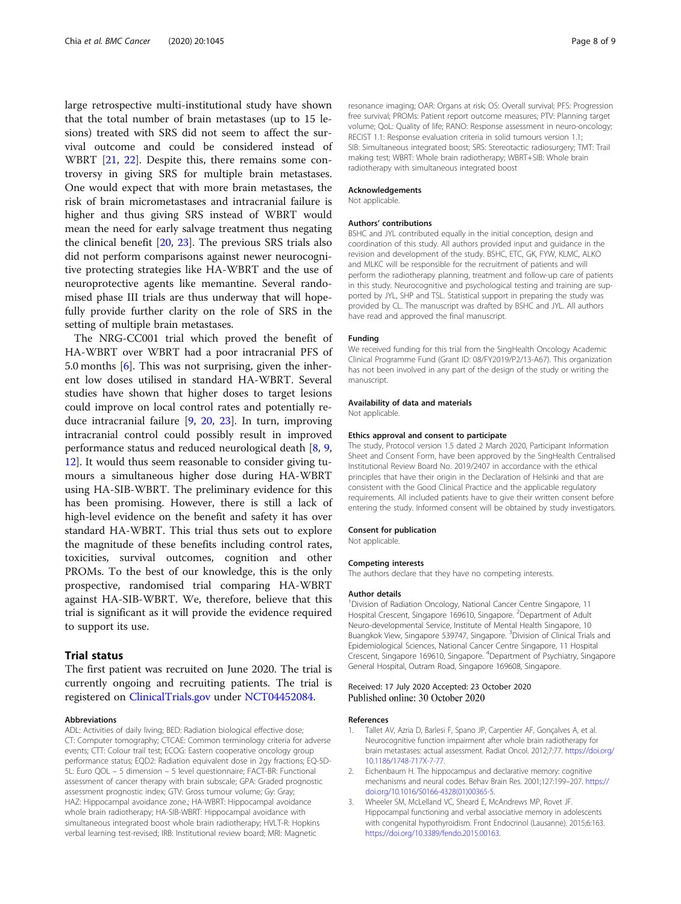<span id="page-7-0"></span>large retrospective multi-institutional study have shown that the total number of brain metastases (up to 15 lesions) treated with SRS did not seem to affect the survival outcome and could be considered instead of WBRT [\[21](#page-8-0), [22\]](#page-8-0). Despite this, there remains some controversy in giving SRS for multiple brain metastases. One would expect that with more brain metastases, the risk of brain micrometastases and intracranial failure is higher and thus giving SRS instead of WBRT would mean the need for early salvage treatment thus negating the clinical benefit [[20,](#page-8-0) [23](#page-8-0)]. The previous SRS trials also did not perform comparisons against newer neurocognitive protecting strategies like HA-WBRT and the use of neuroprotective agents like memantine. Several randomised phase III trials are thus underway that will hopefully provide further clarity on the role of SRS in the setting of multiple brain metastases.

The NRG-CC001 trial which proved the benefit of HA-WBRT over WBRT had a poor intracranial PFS of 5.0 months [\[6\]](#page-8-0). This was not surprising, given the inherent low doses utilised in standard HA-WBRT. Several studies have shown that higher doses to target lesions could improve on local control rates and potentially reduce intracranial failure [[9](#page-8-0), [20,](#page-8-0) [23\]](#page-8-0). In turn, improving intracranial control could possibly result in improved performance status and reduced neurological death [\[8](#page-8-0), [9](#page-8-0), [12\]](#page-8-0). It would thus seem reasonable to consider giving tumours a simultaneous higher dose during HA-WBRT using HA-SIB-WBRT. The preliminary evidence for this has been promising. However, there is still a lack of high-level evidence on the benefit and safety it has over standard HA-WBRT. This trial thus sets out to explore the magnitude of these benefits including control rates, toxicities, survival outcomes, cognition and other PROMs. To the best of our knowledge, this is the only prospective, randomised trial comparing HA-WBRT against HA-SIB-WBRT. We, therefore, believe that this trial is significant as it will provide the evidence required to support its use.

# Trial status

The first patient was recruited on June 2020. The trial is currently ongoing and recruiting patients. The trial is registered on [ClinicalTrials.gov](http://clinicaltrials.gov) under [NCT04452084.](https://clinicaltrials.gov/ct2/show/NCT04452084)

#### Abbreviations

ADL: Activities of daily living; BED: Radiation biological effective dose; CT: Computer tomography; CTCAE: Common terminology criteria for adverse events; CTT: Colour trail test; ECOG: Eastern cooperative oncology group performance status; EQD2: Radiation equivalent dose in 2gy fractions; EQ-5D-5L: Euro QOL – 5 dimension – 5 level questionnaire; FACT-BR: Functional assessment of cancer therapy with brain subscale; GPA: Graded prognostic assessment prognostic index; GTV: Gross tumour volume; Gy: Gray; HAZ: Hippocampal avoidance zone.; HA-WBRT: Hippocampal avoidance whole brain radiotherapy; HA-SIB-WBRT: Hippocampal avoidance with simultaneous integrated boost whole brain radiotherapy; HVLT-R: Hopkins verbal learning test-revised; IRB: Institutional review board; MRI: Magnetic

resonance imaging; OAR: Organs at risk; OS: Overall survival; PFS: Progression free survival; PROMs: Patient report outcome measures; PTV: Planning target volume; QoL: Quality of life; RANO: Response assessment in neuro-oncology; RECIST 1.1: Response evaluation criteria in solid tumours version 1.1; SIB: Simultaneous integrated boost; SRS: Stereotactic radiosurgery; TMT: Trail making test; WBRT: Whole brain radiotherapy; WBRT+SIB: Whole brain radiotherapy with simultaneous integrated boost

#### Acknowledgements

Not applicable.

#### Authors' contributions

BSHC and JYL contributed equally in the initial conception, design and coordination of this study. All authors provided input and guidance in the revision and development of the study. BSHC, ETC, GK, FYW, KLMC, ALKO and MLKC will be responsible for the recruitment of patients and will perform the radiotherapy planning, treatment and follow-up care of patients in this study. Neurocognitive and psychological testing and training are supported by JYL, SHP and TSL. Statistical support in preparing the study was provided by CL. The manuscript was drafted by BSHC and JYL. All authors have read and approved the final manuscript.

#### Funding

We received funding for this trial from the SingHealth Oncology Academic Clinical Programme Fund (Grant ID: 08/FY2019/P2/13-A67). This organization has not been involved in any part of the design of the study or writing the manuscript.

#### Availability of data and materials

Not applicable.

#### Ethics approval and consent to participate

The study, Protocol version 1.5 dated 2 March 2020, Participant Information Sheet and Consent Form, have been approved by the SingHealth Centralised Institutional Review Board No. 2019/2407 in accordance with the ethical principles that have their origin in the Declaration of Helsinki and that are consistent with the Good Clinical Practice and the applicable regulatory requirements. All included patients have to give their written consent before entering the study. Informed consent will be obtained by study investigators.

#### Consent for publication

Not applicable.

#### Competing interests

The authors declare that they have no competing interests.

#### Author details

<sup>1</sup> Division of Radiation Oncology, National Cancer Centre Singapore, 11 Hospital Crescent, Singapore 169610, Singapore. <sup>2</sup>Department of Adult Neuro-developmental Service, Institute of Mental Health Singapore, 10 Buangkok View, Singapore 539747, Singapore. <sup>3</sup>Division of Clinical Trials and Epidemiological Sciences, National Cancer Centre Singapore, 11 Hospital Crescent, Singapore 169610, Singapore. <sup>4</sup> Department of Psychiatry, Singapore General Hospital, Outram Road, Singapore 169608, Singapore.

#### Received: 17 July 2020 Accepted: 23 October 2020 Published online: 30 October 2020

#### References

- 1. Tallet AV, Azria D, Barlesi F, Spano JP, Carpentier AF, Gonçalves A, et al. Neurocognitive function impairment after whole brain radiotherapy for brain metastases: actual assessment. Radiat Oncol. 2012;7:77. [https://doi.org/](https://doi.org/10.1186/1748-717X-7-77) [10.1186/1748-717X-7-77](https://doi.org/10.1186/1748-717X-7-77).
- 2. Eichenbaum H. The hippocampus and declarative memory: cognitive mechanisms and neural codes. Behav Brain Res. 2001;127:199–207. [https://](https://doi.org/10.1016/S0166-4328(01)00365-5) [doi.org/10.1016/S0166-4328\(01\)00365-5](https://doi.org/10.1016/S0166-4328(01)00365-5).
- 3. Wheeler SM, McLelland VC, Sheard E, McAndrews MP, Rovet JF. Hippocampal functioning and verbal associative memory in adolescents with congenital hypothyroidism. Front Endocrinol (Lausanne). 2015;6:163. [https://doi.org/10.3389/fendo.2015.00163.](https://doi.org/10.3389/fendo.2015.00163)